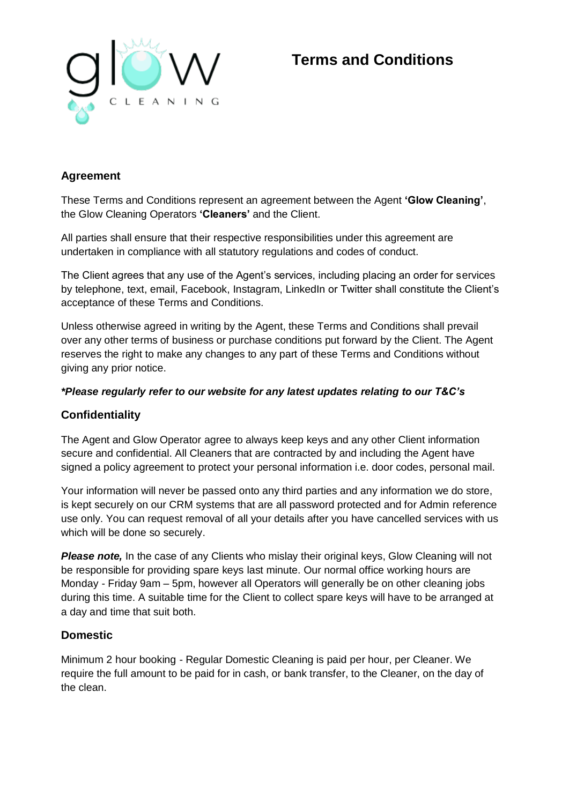

# **Terms and Conditions**

# **Agreement**

These Terms and Conditions represent an agreement between the Agent **'Glow Cleaning'**, the Glow Cleaning Operators **'Cleaners'** and the Client.

All parties shall ensure that their respective responsibilities under this agreement are undertaken in compliance with all statutory regulations and codes of conduct.

The Client agrees that any use of the Agent's services, including placing an order for services by telephone, text, email, Facebook, Instagram, LinkedIn or Twitter shall constitute the Client's acceptance of these Terms and Conditions.

Unless otherwise agreed in writing by the Agent, these Terms and Conditions shall prevail over any other terms of business or purchase conditions put forward by the Client. The Agent reserves the right to make any changes to any part of these Terms and Conditions without giving any prior notice.

#### *\*Please regularly refer to our website for any latest updates relating to our T&C's*

#### **Confidentiality**

The Agent and Glow Operator agree to always keep keys and any other Client information secure and confidential. All Cleaners that are contracted by and including the Agent have signed a policy agreement to protect your personal information i.e. door codes, personal mail.

Your information will never be passed onto any third parties and any information we do store, is kept securely on our CRM systems that are all password protected and for Admin reference use only. You can request removal of all your details after you have cancelled services with us which will be done so securely.

**Please note,** In the case of any Clients who mislay their original keys, Glow Cleaning will not be responsible for providing spare keys last minute. Our normal office working hours are Monday - Friday 9am – 5pm, however all Operators will generally be on other cleaning jobs during this time. A suitable time for the Client to collect spare keys will have to be arranged at a day and time that suit both.

#### **Domestic**

Minimum 2 hour booking - Regular Domestic Cleaning is paid per hour, per Cleaner. We require the full amount to be paid for in cash, or bank transfer, to the Cleaner, on the day of the clean.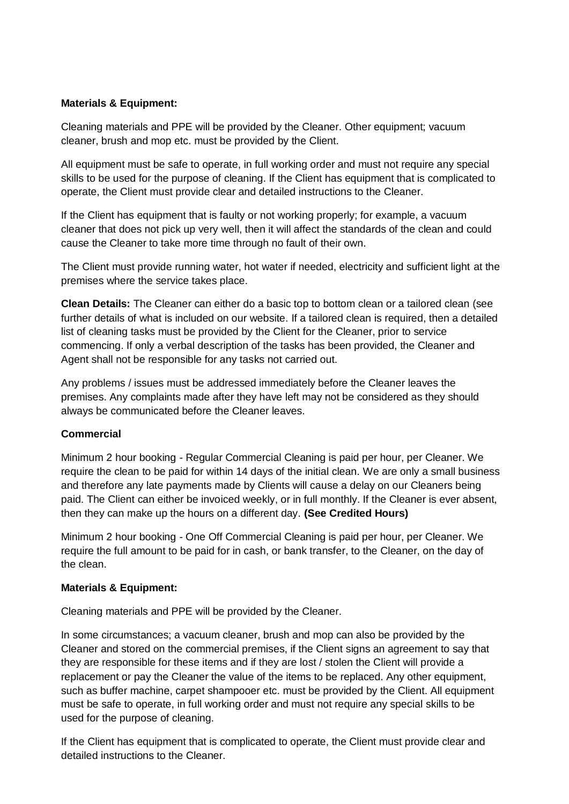#### **Materials & Equipment:**

Cleaning materials and PPE will be provided by the Cleaner. Other equipment; vacuum cleaner, brush and mop etc. must be provided by the Client.

All equipment must be safe to operate, in full working order and must not require any special skills to be used for the purpose of cleaning. If the Client has equipment that is complicated to operate, the Client must provide clear and detailed instructions to the Cleaner.

If the Client has equipment that is faulty or not working properly; for example, a vacuum cleaner that does not pick up very well, then it will affect the standards of the clean and could cause the Cleaner to take more time through no fault of their own.

The Client must provide running water, hot water if needed, electricity and sufficient light at the premises where the service takes place.

**Clean Details:** The Cleaner can either do a basic top to bottom clean or a tailored clean (see further details of what is included on our website. If a tailored clean is required, then a detailed list of cleaning tasks must be provided by the Client for the Cleaner, prior to service commencing. If only a verbal description of the tasks has been provided, the Cleaner and Agent shall not be responsible for any tasks not carried out.

Any problems / issues must be addressed immediately before the Cleaner leaves the premises. Any complaints made after they have left may not be considered as they should always be communicated before the Cleaner leaves.

#### **Commercial**

Minimum 2 hour booking - Regular Commercial Cleaning is paid per hour, per Cleaner. We require the clean to be paid for within 14 days of the initial clean. We are only a small business and therefore any late payments made by Clients will cause a delay on our Cleaners being paid. The Client can either be invoiced weekly, or in full monthly. If the Cleaner is ever absent, then they can make up the hours on a different day. **(See Credited Hours)**

Minimum 2 hour booking - One Off Commercial Cleaning is paid per hour, per Cleaner. We require the full amount to be paid for in cash, or bank transfer, to the Cleaner, on the day of the clean.

#### **Materials & Equipment:**

Cleaning materials and PPE will be provided by the Cleaner.

In some circumstances; a vacuum cleaner, brush and mop can also be provided by the Cleaner and stored on the commercial premises, if the Client signs an agreement to say that they are responsible for these items and if they are lost / stolen the Client will provide a replacement or pay the Cleaner the value of the items to be replaced. Any other equipment, such as buffer machine, carpet shampooer etc. must be provided by the Client. All equipment must be safe to operate, in full working order and must not require any special skills to be used for the purpose of cleaning.

If the Client has equipment that is complicated to operate, the Client must provide clear and detailed instructions to the Cleaner.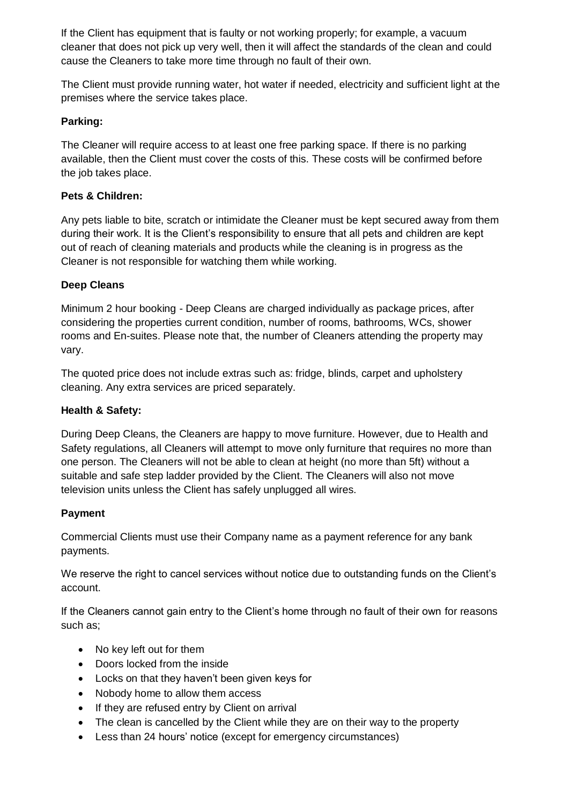If the Client has equipment that is faulty or not working properly; for example, a vacuum cleaner that does not pick up very well, then it will affect the standards of the clean and could cause the Cleaners to take more time through no fault of their own.

The Client must provide running water, hot water if needed, electricity and sufficient light at the premises where the service takes place.

## **Parking:**

The Cleaner will require access to at least one free parking space. If there is no parking available, then the Client must cover the costs of this. These costs will be confirmed before the job takes place.

# **Pets & Children:**

Any pets liable to bite, scratch or intimidate the Cleaner must be kept secured away from them during their work. It is the Client's responsibility to ensure that all pets and children are kept out of reach of cleaning materials and products while the cleaning is in progress as the Cleaner is not responsible for watching them while working.

# **Deep Cleans**

Minimum 2 hour booking - Deep Cleans are charged individually as package prices, after considering the properties current condition, number of rooms, bathrooms, WCs, shower rooms and En-suites. Please note that, the number of Cleaners attending the property may vary.

The quoted price does not include extras such as: fridge, blinds, carpet and upholstery cleaning. Any extra services are priced separately.

#### **Health & Safety:**

During Deep Cleans, the Cleaners are happy to move furniture. However, due to Health and Safety regulations, all Cleaners will attempt to move only furniture that requires no more than one person. The Cleaners will not be able to clean at height (no more than 5ft) without a suitable and safe step ladder provided by the Client. The Cleaners will also not move television units unless the Client has safely unplugged all wires.

#### **Payment**

Commercial Clients must use their Company name as a payment reference for any bank payments.

We reserve the right to cancel services without notice due to outstanding funds on the Client's account.

If the Cleaners cannot gain entry to the Client's home through no fault of their own for reasons such as;

- No key left out for them
- Doors locked from the inside
- Locks on that they haven't been given keys for
- Nobody home to allow them access
- If they are refused entry by Client on arrival
- The clean is cancelled by the Client while they are on their way to the property
- Less than 24 hours' notice (except for emergency circumstances)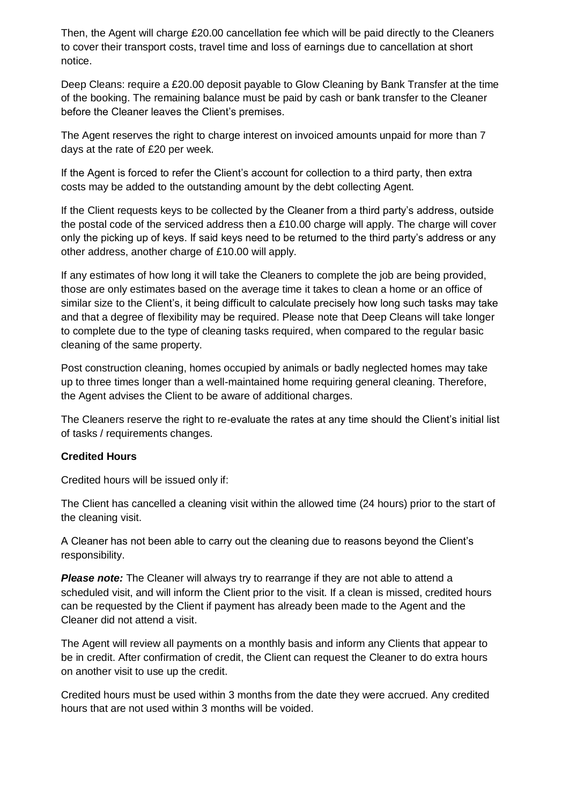Then, the Agent will charge £20.00 cancellation fee which will be paid directly to the Cleaners to cover their transport costs, travel time and loss of earnings due to cancellation at short notice.

Deep Cleans: require a £20.00 deposit payable to Glow Cleaning by Bank Transfer at the time of the booking. The remaining balance must be paid by cash or bank transfer to the Cleaner before the Cleaner leaves the Client's premises.

The Agent reserves the right to charge interest on invoiced amounts unpaid for more than 7 days at the rate of £20 per week.

If the Agent is forced to refer the Client's account for collection to a third party, then extra costs may be added to the outstanding amount by the debt collecting Agent.

If the Client requests keys to be collected by the Cleaner from a third party's address, outside the postal code of the serviced address then a £10.00 charge will apply. The charge will cover only the picking up of keys. If said keys need to be returned to the third party's address or any other address, another charge of £10.00 will apply.

If any estimates of how long it will take the Cleaners to complete the job are being provided, those are only estimates based on the average time it takes to clean a home or an office of similar size to the Client's, it being difficult to calculate precisely how long such tasks may take and that a degree of flexibility may be required. Please note that Deep Cleans will take longer to complete due to the type of cleaning tasks required, when compared to the regular basic cleaning of the same property.

Post construction cleaning, homes occupied by animals or badly neglected homes may take up to three times longer than a well-maintained home requiring general cleaning. Therefore, the Agent advises the Client to be aware of additional charges.

The Cleaners reserve the right to re-evaluate the rates at any time should the Client's initial list of tasks / requirements changes.

#### **Credited Hours**

Credited hours will be issued only if:

The Client has cancelled a cleaning visit within the allowed time (24 hours) prior to the start of the cleaning visit.

A Cleaner has not been able to carry out the cleaning due to reasons beyond the Client's responsibility.

**Please note:** The Cleaner will always try to rearrange if they are not able to attend a scheduled visit, and will inform the Client prior to the visit. If a clean is missed, credited hours can be requested by the Client if payment has already been made to the Agent and the Cleaner did not attend a visit.

The Agent will review all payments on a monthly basis and inform any Clients that appear to be in credit. After confirmation of credit, the Client can request the Cleaner to do extra hours on another visit to use up the credit.

Credited hours must be used within 3 months from the date they were accrued. Any credited hours that are not used within 3 months will be voided.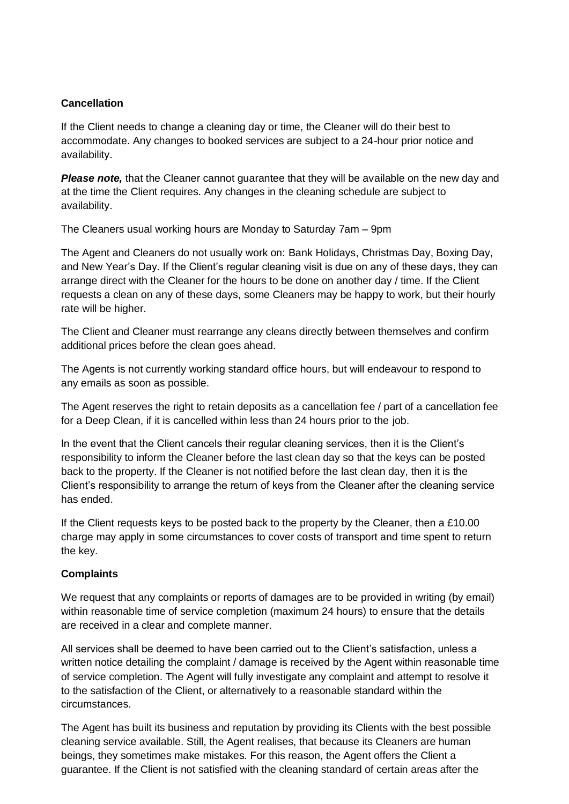#### **Cancellation**

If the Client needs to change a cleaning day or time, the Cleaner will do their best to accommodate. Any changes to booked services are subject to a 24-hour prior notice and availability.

**Please note,** that the Cleaner cannot quarantee that they will be available on the new day and at the time the Client requires. Any changes in the cleaning schedule are subject to availability.

The Cleaners usual working hours are Monday to Saturday 7am – 9pm

The Agent and Cleaners do not usually work on: Bank Holidays, Christmas Day, Boxing Day, and New Year's Day. If the Client's regular cleaning visit is due on any of these days, they can arrange direct with the Cleaner for the hours to be done on another day / time. If the Client requests a clean on any of these days, some Cleaners may be happy to work, but their hourly rate will be higher.

The Client and Cleaner must rearrange any cleans directly between themselves and confirm additional prices before the clean goes ahead.

The Agents is not currently working standard office hours, but will endeavour to respond to any emails as soon as possible.

The Agent reserves the right to retain deposits as a cancellation fee / part of a cancellation fee for a Deep Clean, if it is cancelled within less than 24 hours prior to the job.

In the event that the Client cancels their regular cleaning services, then it is the Client's responsibility to inform the Cleaner before the last clean day so that the keys can be posted back to the property. If the Cleaner is not notified before the last clean day, then it is the Client's responsibility to arrange the return of keys from the Cleaner after the cleaning service has ended.

If the Client requests keys to be posted back to the property by the Cleaner, then a £10.00 charge may apply in some circumstances to cover costs of transport and time spent to return the key.

#### **Complaints**

We request that any complaints or reports of damages are to be provided in writing (by email) within reasonable time of service completion (maximum 24 hours) to ensure that the details are received in a clear and complete manner.

All services shall be deemed to have been carried out to the Client's satisfaction, unless a written notice detailing the complaint / damage is received by the Agent within reasonable time of service completion. The Agent will fully investigate any complaint and attempt to resolve it to the satisfaction of the Client, or alternatively to a reasonable standard within the circumstances.

The Agent has built its business and reputation by providing its Clients with the best possible cleaning service available. Still, the Agent realises, that because its Cleaners are human beings, they sometimes make mistakes. For this reason, the Agent offers the Client a guarantee. If the Client is not satisfied with the cleaning standard of certain areas after the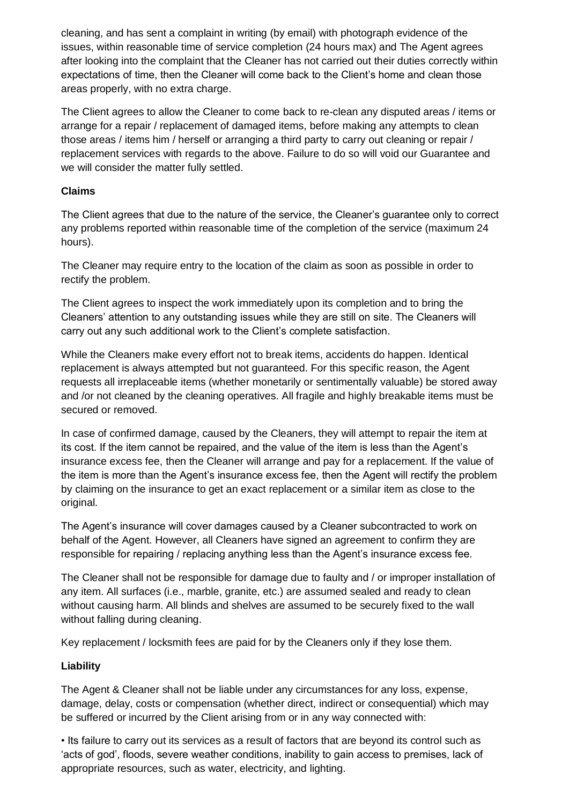cleaning, and has sent a complaint in writing (by email) with photograph evidence of the issues, within reasonable time of service completion (24 hours max) and The Agent agrees after looking into the complaint that the Cleaner has not carried out their duties correctly within expectations of time, then the Cleaner will come back to the Client's home and clean those areas properly, with no extra charge.

The Client agrees to allow the Cleaner to come back to re-clean any disputed areas / items or arrange for a repair / replacement of damaged items, before making any attempts to clean those areas / items him / herself or arranging a third party to carry out cleaning or repair / replacement services with regards to the above. Failure to do so will void our Guarantee and we will consider the matter fully settled.

## **Claims**

The Client agrees that due to the nature of the service, the Cleaner's guarantee only to correct any problems reported within reasonable time of the completion of the service (maximum 24 hours).

The Cleaner may require entry to the location of the claim as soon as possible in order to rectify the problem.

The Client agrees to inspect the work immediately upon its completion and to bring the Cleaners' attention to any outstanding issues while they are still on site. The Cleaners will carry out any such additional work to the Client's complete satisfaction.

While the Cleaners make every effort not to break items, accidents do happen. Identical replacement is always attempted but not guaranteed. For this specific reason, the Agent requests all irreplaceable items (whether monetarily or sentimentally valuable) be stored away and /or not cleaned by the cleaning operatives. All fragile and highly breakable items must be secured or removed.

In case of confirmed damage, caused by the Cleaners, they will attempt to repair the item at its cost. If the item cannot be repaired, and the value of the item is less than the Agent's insurance excess fee, then the Cleaner will arrange and pay for a replacement. If the value of the item is more than the Agent's insurance excess fee, then the Agent will rectify the problem by claiming on the insurance to get an exact replacement or a similar item as close to the original.

The Agent's insurance will cover damages caused by a Cleaner subcontracted to work on behalf of the Agent. However, all Cleaners have signed an agreement to confirm they are responsible for repairing / replacing anything less than the Agent's insurance excess fee.

The Cleaner shall not be responsible for damage due to faulty and / or improper installation of any item. All surfaces (i.e., marble, granite, etc.) are assumed sealed and ready to clean without causing harm. All blinds and shelves are assumed to be securely fixed to the wall without falling during cleaning.

Key replacement / locksmith fees are paid for by the Cleaners only if they lose them.

# **Liability**

The Agent & Cleaner shall not be liable under any circumstances for any loss, expense, damage, delay, costs or compensation (whether direct, indirect or consequential) which may be suffered or incurred by the Client arising from or in any way connected with:

• Its failure to carry out its services as a result of factors that are beyond its control such as 'acts of god', floods, severe weather conditions, inability to gain access to premises, lack of appropriate resources, such as water, electricity, and lighting.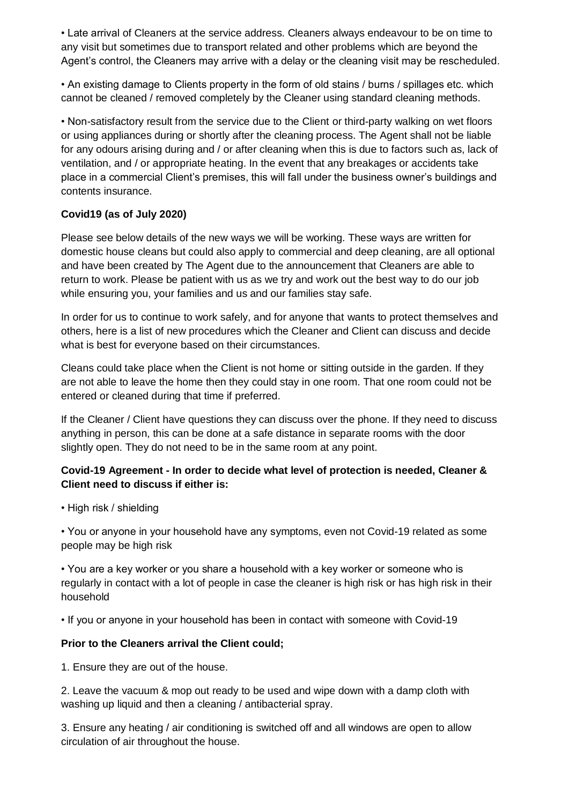• Late arrival of Cleaners at the service address. Cleaners always endeavour to be on time to any visit but sometimes due to transport related and other problems which are beyond the Agent's control, the Cleaners may arrive with a delay or the cleaning visit may be rescheduled.

• An existing damage to Clients property in the form of old stains / burns / spillages etc. which cannot be cleaned / removed completely by the Cleaner using standard cleaning methods.

• Non-satisfactory result from the service due to the Client or third-party walking on wet floors or using appliances during or shortly after the cleaning process. The Agent shall not be liable for any odours arising during and / or after cleaning when this is due to factors such as, lack of ventilation, and / or appropriate heating. In the event that any breakages or accidents take place in a commercial Client's premises, this will fall under the business owner's buildings and contents insurance.

# **Covid19 (as of July 2020)**

Please see below details of the new ways we will be working. These ways are written for domestic house cleans but could also apply to commercial and deep cleaning, are all optional and have been created by The Agent due to the announcement that Cleaners are able to return to work. Please be patient with us as we try and work out the best way to do our job while ensuring you, your families and us and our families stay safe.

In order for us to continue to work safely, and for anyone that wants to protect themselves and others, here is a list of new procedures which the Cleaner and Client can discuss and decide what is best for everyone based on their circumstances.

Cleans could take place when the Client is not home or sitting outside in the garden. If they are not able to leave the home then they could stay in one room. That one room could not be entered or cleaned during that time if preferred.

If the Cleaner / Client have questions they can discuss over the phone. If they need to discuss anything in person, this can be done at a safe distance in separate rooms with the door slightly open. They do not need to be in the same room at any point.

# **Covid-19 Agreement - In order to decide what level of protection is needed, Cleaner & Client need to discuss if either is:**

• High risk / shielding

• You or anyone in your household have any symptoms, even not Covid-19 related as some people may be high risk

• You are a key worker or you share a household with a key worker or someone who is regularly in contact with a lot of people in case the cleaner is high risk or has high risk in their household

• If you or anyone in your household has been in contact with someone with Covid-19

#### **Prior to the Cleaners arrival the Client could;**

1. Ensure they are out of the house.

2. Leave the vacuum & mop out ready to be used and wipe down with a damp cloth with washing up liquid and then a cleaning / antibacterial spray.

3. Ensure any heating / air conditioning is switched off and all windows are open to allow circulation of air throughout the house.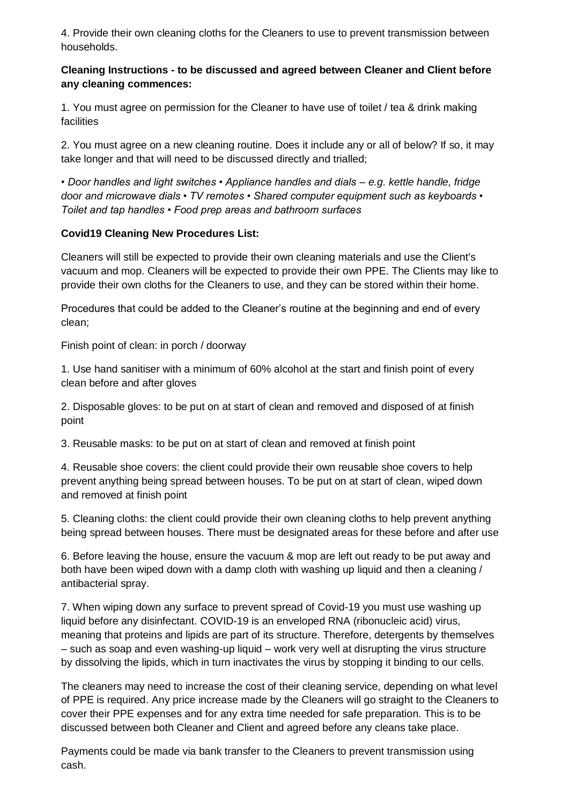4. Provide their own cleaning cloths for the Cleaners to use to prevent transmission between households.

## **Cleaning Instructions - to be discussed and agreed between Cleaner and Client before any cleaning commences:**

1. You must agree on permission for the Cleaner to have use of toilet / tea & drink making facilities

2. You must agree on a new cleaning routine. Does it include any or all of below? If so, it may take longer and that will need to be discussed directly and trialled;

• *Door handles and light switches • Appliance handles and dials – e.g. kettle handle, fridge door and microwave dials • TV remotes • Shared computer equipment such as keyboards • Toilet and tap handles • Food prep areas and bathroom surfaces*

# **Covid19 Cleaning New Procedures List:**

Cleaners will still be expected to provide their own cleaning materials and use the Client's vacuum and mop. Cleaners will be expected to provide their own PPE. The Clients may like to provide their own cloths for the Cleaners to use, and they can be stored within their home.

Procedures that could be added to the Cleaner's routine at the beginning and end of every clean;

Finish point of clean: in porch / doorway

1. Use hand sanitiser with a minimum of 60% alcohol at the start and finish point of every clean before and after gloves

2. Disposable gloves: to be put on at start of clean and removed and disposed of at finish point

3. Reusable masks: to be put on at start of clean and removed at finish point

4. Reusable shoe covers: the client could provide their own reusable shoe covers to help prevent anything being spread between houses. To be put on at start of clean, wiped down and removed at finish point

5. Cleaning cloths: the client could provide their own cleaning cloths to help prevent anything being spread between houses. There must be designated areas for these before and after use

6. Before leaving the house, ensure the vacuum & mop are left out ready to be put away and both have been wiped down with a damp cloth with washing up liquid and then a cleaning / antibacterial spray.

7. When wiping down any surface to prevent spread of Covid-19 you must use washing up liquid before any disinfectant. COVID-19 is an enveloped RNA (ribonucleic acid) virus, meaning that proteins and lipids are part of its structure. Therefore, detergents by themselves – such as soap and even washing-up liquid – work very well at disrupting the virus structure by dissolving the lipids, which in turn inactivates the virus by stopping it binding to our cells.

The cleaners may need to increase the cost of their cleaning service, depending on what level of PPE is required. Any price increase made by the Cleaners will go straight to the Cleaners to cover their PPE expenses and for any extra time needed for safe preparation. This is to be discussed between both Cleaner and Client and agreed before any cleans take place.

Payments could be made via bank transfer to the Cleaners to prevent transmission using cash.